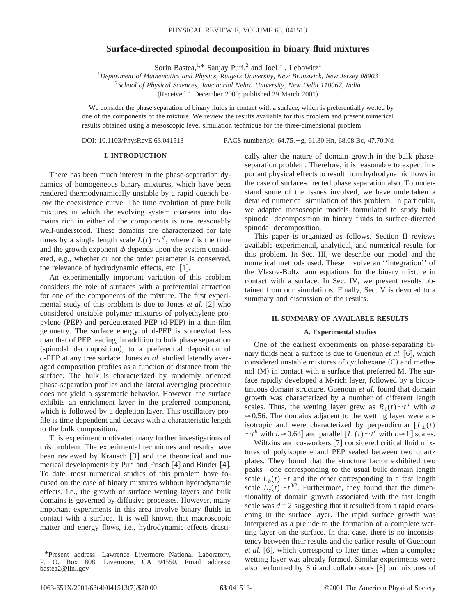# **Surface-directed spinodal decomposition in binary fluid mixtures**

Sorin Bastea,<sup>1,\*</sup> Sanjay Puri,<sup>2</sup> and Joel L. Lebowitz<sup>1</sup>

1 *Department of Mathematics and Physics, Rutgers University, New Brunswick, New Jersey 08903*

2 *School of Physical Sciences, Jawaharlal Nehru University, New Delhi 110067, India*

(Received 1 December 2000; published 29 March 2001)

We consider the phase separation of binary fluids in contact with a surface, which is preferentially wetted by one of the components of the mixture. We review the results available for this problem and present numerical results obtained using a mesoscopic level simulation technique for the three-dimensional problem.

DOI: 10.1103/PhysRevE.63.041513 PACS number(s): 64.75.+g, 61.30.Hn, 68.08.Bc, 47.70.Nd

## **I. INTRODUCTION**

There has been much interest in the phase-separation dynamics of homogeneous binary mixtures, which have been rendered thermodynamically unstable by a rapid quench below the coexistence curve. The time evolution of pure bulk mixtures in which the evolving system coarsens into domains rich in either of the components is now reasonably well-understood. These domains are characterized for late times by a single length scale  $L(t) \sim t^{\phi}$ , where *t* is the time and the growth exponent  $\phi$  depends upon the system considered, e.g., whether or not the order parameter is conserved, the relevance of hydrodynamic effects, etc.  $[1]$ .

An experimentally important variation of this problem considers the role of surfaces with a preferential attraction for one of the components of the mixture. The first experimental study of this problem is due to Jones *et al.* [2] who considered unstable polymer mixtures of polyethylene propylene (PEP) and perdeuterated PEP (d-PEP) in a thin-film geometry. The surface energy of d-PEP is somewhat less than that of PEP leading, in addition to bulk phase separation (spinodal decomposition), to a preferential deposition of d-PEP at any free surface. Jones *et al.* studied laterally averaged composition profiles as a function of distance from the surface. The bulk is characterized by randomly oriented phase-separation profiles and the lateral averaging procedure does not yield a systematic behavior. However, the surface exhibits an enrichment layer in the preferred component, which is followed by a depletion layer. This oscillatory profile is time dependent and decays with a characteristic length to the bulk composition.

This experiment motivated many further investigations of this problem. The experimental techniques and results have been reviewed by Krausch [3] and the theoretical and numerical developments by Puri and Frisch  $[4]$  and Binder  $[4]$ . To date, most numerical studies of this problem have focused on the case of binary mixtures without hydrodynamic effects, i.e., the growth of surface wetting layers and bulk domains is governed by diffusive processes. However, many important experiments in this area involve binary fluids in contact with a surface. It is well known that macroscopic matter and energy flows, i.e., hydrodynamic effects drastically alter the nature of domain growth in the bulk phaseseparation problem. Therefore, it is reasonable to expect important physical effects to result from hydrodynamic flows in the case of surface-directed phase separation also. To understand some of the issues involved, we have undertaken a detailed numerical simulation of this problem. In particular, we adapted mesoscopic models formulated to study bulk spinodal decomposition in binary fluids to surface-directed spinodal decomposition.

This paper is organized as follows. Section II reviews available experimental, analytical, and numerical results for this problem. In Sec. III, we describe our model and the numerical methods used. These involve an ''integration'' of the Vlasov-Boltzmann equations for the binary mixture in contact with a surface. In Sec. IV, we present results obtained from our simulations. Finally, Sec. V is devoted to a summary and discussion of the results.

### **II. SUMMARY OF AVAILABLE RESULTS**

## **A. Experimental studies**

One of the earliest experiments on phase-separating binary fluids near a surface is due to Guenoun *et al.* [6], which considered unstable mixtures of cyclohexane  $(C)$  and methanol (M) in contact with a surface that preferred M. The surface rapidly developed a M-rich layer, followed by a bicontinuous domain structure. Guenoun *et al.* found that domain growth was characterized by a number of different length scales. Thus, the wetting layer grew as  $R_1(t) \sim t^a$  with *a*  $\approx$  0.56. The domains adjacent to the wetting layer were anisotropic and were characterized by perpendicular  $[L_+(t)]$  $\sim t^b$  with *b*  $\approx$  0.64] and parallel  $[L_{\parallel}(t) \sim t^c$  with  $c \approx 1$ ] scales.

Wiltzius and co-workers [7] considered critical fluid mixtures of polyisoprene and PEP sealed between two quartz plates. They found that the structure factor exhibited two peaks—one corresponding to the usual bulk domain length scale  $L_b(t) \sim t$  and the other corresponding to a fast length scale  $L_s(t) \sim t^{3/2}$ . Furthermore, they found that the dimensionality of domain growth associated with the fast length scale was  $d=2$  suggesting that it resulted from a rapid coarsening in the surface layer. The rapid surface growth was interpreted as a prelude to the formation of a complete wetting layer on the surface. In that case, there is no inconsistency between their results and the earlier results of Guenoun *et al.* [6], which correspond to later times when a complete wetting layer was already formed. Similar experiments were also performed by Shi and collaborators  $[8]$  on mixtures of

<sup>\*</sup>Present address: Lawrence Livermore National Laboratory, P. O. Box 808, Livermore, CA 94550. Email address: bastea2@llnl.gov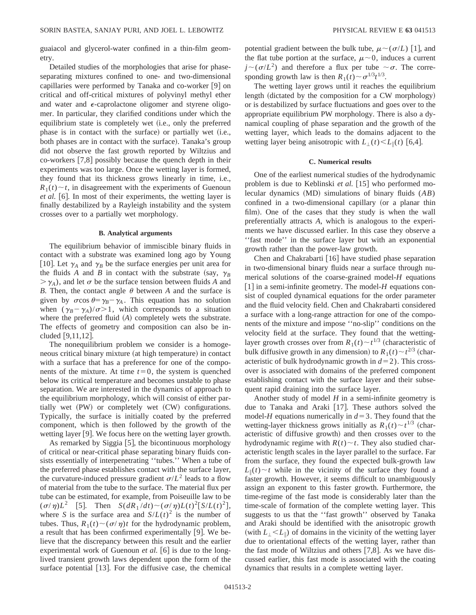guaiacol and glycerol-water confined in a thin-film geometry.

Detailed studies of the morphologies that arise for phaseseparating mixtures confined to one- and two-dimensional capillaries were performed by Tanaka and co-worker  $[9]$  on critical and off-critical mixtures of polyvinyl methyl ether and water and  $\epsilon$ -caprolactone oligomer and styrene oligomer. In particular, they clarified conditions under which the equilibrium state is completely wet (i.e., only the preferred phase is in contact with the surface) or partially wet (i.e., both phases are in contact with the surface). Tanaka's group did not observe the fast growth reported by Wiltzius and  $\cos$ -workers [7,8] possibly because the quench depth in their experiments was too large. Once the wetting layer is formed, they found that its thickness grows linearly in time, i.e.,  $R_1(t) \sim t$ , in disagreement with the experiments of Guenoun *et al.* [6]. In most of their experiments, the wetting layer is finally destabilized by a Rayleigh instability and the system crosses over to a partially wet morphology.

#### **B. Analytical arguments**

The equilibrium behavior of immiscible binary fluids in contact with a substrate was examined long ago by Young [10]. Let  $\gamma_A$  and  $\gamma_B$  be the surface energies per unit area for the fluids *A* and *B* in contact with the substrate (say,  $\gamma_B$  $> \gamma_A$ ), and let  $\sigma$  be the surface tension between fluids *A* and *B*. Then, the contact angle  $\theta$  between *A* and the surface is given by  $\sigma \cos \theta = \gamma_B - \gamma_A$ . This equation has no solution when  $(\gamma_B - \gamma_A)/\sigma > 1$ , which corresponds to a situation where the preferred fluid  $(A)$  completely wets the substrate. The effects of geometry and composition can also be included  $[9,11,12]$ .

The nonequilibrium problem we consider is a homogeneous critical binary mixture (at high temperature) in contact with a surface that has a preference for one of the components of the mixture. At time  $t=0$ , the system is quenched below its critical temperature and becomes unstable to phase separation. We are interested in the dynamics of approach to the equilibrium morphology, which will consist of either partially wet  $(PW)$  or completely wet  $(CW)$  configurations. Typically, the surface is initially coated by the preferred component, which is then followed by the growth of the wetting layer  $[9]$ . We focus here on the wetting layer growth.

As remarked by Siggia  $[5]$ , the bicontinuous morphology of critical or near-critical phase separating binary fluids consists essentially of interpenetrating ''tubes.'' When a tube of the preferred phase establishes contact with the surface layer, the curvature-induced pressure gradient  $\sigma/L^2$  leads to a flow of material from the tube to the surface. The material flux per tube can be estimated, for example, from Poiseuille law to be  $(\sigma/\eta)L^2$  [5]. Then  $S(dR_1/dt) \sim (\sigma/\eta)L(t)^2[S/L(t)^2],$ where *S* is the surface area and  $S/L(t)^2$  is the number of tubes. Thus,  $R_1(t) \sim (\sigma/\eta)t$  for the hydrodynamic problem, a result that has been confirmed experimentally  $[9]$ . We believe that the discrepancy between this result and the earlier experimental work of Guenoun  $et$   $al$ . [6] is due to the longlived transient growth laws dependent upon the form of the surface potential  $[13]$ . For the diffusive case, the chemical potential gradient between the bulk tube,  $\mu \sim (\sigma/L)$  [1], and the flat tube portion at the surface,  $\mu \sim 0$ , induces a current  $j \sim (\sigma/L^2)$  and therefore a flux per tube  $\sim \sigma$ . The corresponding growth law is then  $R_1(t) \sim \sigma^{1/3} t^{1/3}$ .

The wetting layer grows until it reaches the equilibrium length (dictated by the composition for a CW morphology) or is destabilized by surface fluctuations and goes over to the appropriate equilibrium PW morphology. There is also a dynamical coupling of phase separation and the growth of the wetting layer, which leads to the domains adjacent to the wetting layer being anisotropic with  $L_{\perp}(t) \le L_{\parallel}(t)$  [6,4].

### **C. Numerical results**

One of the earliest numerical studies of the hydrodynamic problem is due to Keblinski *et al.* [15] who performed molecular dynamics  $(MD)$  simulations of binary fluids  $(AB)$ confined in a two-dimensional capillary (or a planar thin film). One of the cases that they study is when the wall preferentially attracts *A*, which is analogous to the experiments we have discussed earlier. In this case they observe a ''fast mode'' in the surface layer but with an exponential growth rather than the power-law growth.

Chen and Chakrabarti  $[16]$  have studied phase separation in two-dimensional binary fluids near a surface through numerical solutions of the coarse-grained model-*H* equations  $[1]$  in a semi-infinite geometry. The model-*H* equations consist of coupled dynamical equations for the order parameter and the fluid velocity field. Chen and Chakrabarti considered a surface with a long-range attraction for one of the components of the mixture and impose ''no-slip'' conditions on the velocity field at the surface. They found that the wettinglayer growth crosses over from  $R_1(t) \sim t^{1/3}$  (characteristic of bulk diffusive growth in any dimension) to  $R_1(t) \sim t^{2/3}$  (characteristic of bulk hydrodynamic growth in  $d=2$ ). This crossover is associated with domains of the preferred component establishing contact with the surface layer and their subsequent rapid draining into the surface layer.

Another study of model *H* in a semi-infinite geometry is due to Tanaka and Araki  $[17]$ . These authors solved the model-*H* equations numerically in  $d=3$ . They found that the wetting-layer thickness grows initially as  $R_1(t) \sim t^{1/3}$  (characteristic of diffusive growth) and then crosses over to the hydrodynamic regime with  $R(t) \sim t$ . They also studied characteristic length scales in the layer parallel to the surface. Far from the surface, they found the expected bulk-growth law  $L_{\parallel}(t) \sim t$  while in the vicinity of the surface they found a faster growth. However, it seems difficult to unambiguously assign an exponent to this faster growth. Furthermore, the time-regime of the fast mode is considerably later than the time-scale of formation of the complete wetting layer. This suggests to us that the ''fast growth'' observed by Tanaka and Araki should be identified with the anisotropic growth (with  $L_1 < L_{\parallel}$ ) of domains in the vicinity of the wetting layer due to orientational effects of the wetting layer, rather than the fast mode of Wiltzius and others  $[7,8]$ . As we have discussed earlier, this fast mode is associated with the coating dynamics that results in a complete wetting layer.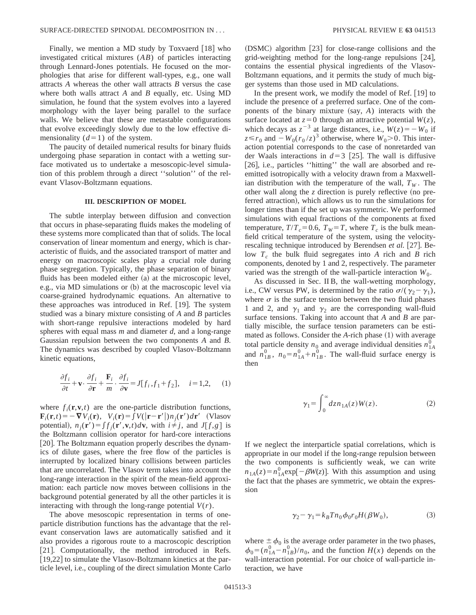Finally, we mention a MD study by Toxvaerd  $|18|$  who investigated critical mixtures (*AB*) of particles interacting through Lennard-Jones potentials. He focused on the morphologies that arise for different wall-types, e.g., one wall attracts *A* whereas the other wall attracts *B* versus the case where both walls attract *A* and *B* equally, etc. Using MD simulation, he found that the system evolves into a layered morphology with the layer being parallel to the surface walls. We believe that these are metastable configurations that evolve exceedingly slowly due to the low effective dimensionality  $(d=1)$  of the system.

The paucity of detailed numerical results for binary fluids undergoing phase separation in contact with a wetting surface motivated us to undertake a mesoscopic-level simulation of this problem through a direct ''solution'' of the relevant Vlasov-Boltzmann equations.

### **III. DESCRIPTION OF MODEL**

The subtle interplay between diffusion and convection that occurs in phase-separating fluids makes the modeling of these systems more complicated than that of solids. The local conservation of linear momentum and energy, which is characteristic of fluids, and the associated transport of matter and energy on macroscopic scales play a crucial role during phase segregation. Typically, the phase separation of binary fluids has been modeled either  $(a)$  at the microscopic level, e.g., via MD simulations or (b) at the macroscopic level via coarse-grained hydrodynamic equations. An alternative to these approaches was introduced in Ref.  $[19]$ . The system studied was a binary mixture consisting of *A* and *B* particles with short-range repulsive interactions modeled by hard spheres with equal mass *m* and diameter *d*, and a long-range Gaussian repulsion between the two components *A* and *B*. The dynamics was described by coupled Vlasov-Boltzmann kinetic equations,

$$
\frac{\partial f_i}{\partial t} + \mathbf{v} \cdot \frac{\partial f_i}{\partial \mathbf{r}} + \frac{\mathbf{F}_i}{m} \cdot \frac{\partial f_i}{\partial \mathbf{v}} = J[f_i, f_1 + f_2], \quad i = 1, 2, \quad (1)
$$

where  $f_i(\mathbf{r}, \mathbf{v}, t)$  are the one-particle distribution functions,  $\mathbf{F}_i(\mathbf{r},t)=-\nabla V_i(\mathbf{r}), V_i(\mathbf{r})=fV(|\mathbf{r}-\mathbf{r}'|)n_i(\mathbf{r}')d\mathbf{r}'$  (Vlasov potential),  $n_i(\mathbf{r}') = \int f_i(\mathbf{r}', \mathbf{v}, t) d\mathbf{v}$ , with  $i \neq j$ , and  $J[f, g]$  is the Boltzmann collision operator for hard-core interactions [20]. The Boltzmann equation properly describes the dynamics of dilute gases, where the free flow of the particles is interrupted by localized binary collisions between particles that are uncorrelated. The Vlasov term takes into account the long-range interaction in the spirit of the mean-field approximation: each particle now moves between collisions in the background potential generated by all the other particles it is interacting with through the long-range potential  $V(r)$ .

The above mesoscopic representation in terms of oneparticle distribution functions has the advantage that the relevant conservation laws are automatically satisfied and it also provides a rigorous route to a macroscopic description [21]. Computationally, the method introduced in Refs.  $[19,22]$  to simulate the Vlasov-Boltzmann kinetics at the particle level, i.e., coupling of the direct simulation Monte Carlo  $(DSMC)$  algorithm  $|23|$  for close-range collisions and the grid-weighting method for the long-range repulsions  $[24]$ , contains the essential physical ingredients of the Vlasov-Boltzmann equations, and it permits the study of much bigger systems than those used in MD calculations.

In the present work, we modify the model of Ref.  $[19]$  to include the presence of a preferred surface. One of the components of the binary mixture  $(say, A)$  interacts with the surface located at  $z=0$  through an attractive potential  $W(z)$ , which decays as  $z^{-3}$  at large distances, i.e.,  $W(z) = -W_0$  if  $z \le r_0$  and  $-W_0(r_0/z)^3$  otherwise, where  $W_0 > 0$ . This interaction potential corresponds to the case of nonretarded van der Waals interactions in  $d=3$  [25]. The wall is diffusive [26], i.e., particles "hitting" the wall are absorbed and reemitted isotropically with a velocity drawn from a Maxwellian distribution with the temperature of the wall,  $T_W$ . The other wall along the  $z$  direction is purely reflective (no preferred attraction), which allows us to run the simulations for longer times than if the set up was symmetric. We performed simulations with equal fractions of the components at fixed temperature,  $T/T_c = 0.6$ ,  $T_W = T$ , where  $T_c$  is the bulk meanfield critical temperature of the system, using the velocityrescaling technique introduced by Berendsen *et al.* [27]. Below  $T_c$  the bulk fluid segregates into A rich and B rich components, denoted by 1 and 2, respectively. The parameter varied was the strength of the wall-particle interaction  $W_0$ .

As discussed in Sec. II B, the wall-wetting morphology, i.e., CW versus PW, is determined by the ratio  $\sigma/(\gamma_2-\gamma_1)$ , where  $\sigma$  is the surface tension between the two fluid phases 1 and 2, and  $\gamma_1$  and  $\gamma_2$  are the corresponding wall-fluid surface tensions. Taking into account that *A* and *B* are partially miscible, the surface tension parameters can be estimated as follows. Consider the *A*-rich phase (1) with average total particle density  $n_0$  and average individual densities  $n_{1A}^{\overline{0}}$ and  $n_{1B}^0$ ,  $n_0 = n_{1A}^0 + n_{1B}^0$ . The wall-fluid surface energy is then

$$
\gamma_1 = \int_0^\infty dz n_{1A}(z) W(z). \tag{2}
$$

If we neglect the interparticle spatial correlations, which is appropriate in our model if the long-range repulsion between the two components is sufficiently weak, we can write  $n_{1A}(z) = n_{1A}^0 \exp[-\beta W(z)]$ . With this assumption and using the fact that the phases are symmetric, we obtain the expression

$$
\gamma_2 - \gamma_1 = k_B T n_0 \phi_0 r_0 H(\beta W_0),\tag{3}
$$

where  $\pm \phi_0$  is the average order parameter in the two phases,  $\phi_0 = (n_{1A}^0 - n_{1B}^0)/n_0$ , and the function  $H(x)$  depends on the wall-interaction potential. For our choice of wall-particle interaction, we have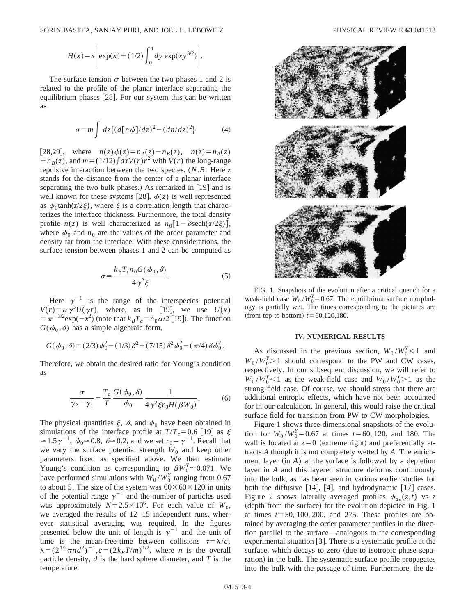SORIN BASTEA, SANJAY PURI, AND JOEL L. LEBOWITZ PHYSICAL REVIEW E **63** 041513

$$
H(x) = x \bigg[ \exp(x) + (1/2) \int_0^1 dy \exp(xy^{3/2}) \bigg].
$$

The surface tension  $\sigma$  between the two phases 1 and 2 is related to the profile of the planar interface separating the equilibrium phases  $[28]$ . For our system this can be written as

$$
\sigma = m \int dz \{ (d[n\phi]/dz)^2 - (dn/dz)^2 \}
$$
 (4)

[28,29], where  $n(z) \phi(z) = n_A(z) - n_B(z)$ ,  $n(z) = n_A(z)$  $+n_B(z)$ , and  $m=(1/12)\int d\mathbf{r}V(r)r^2$  with  $V(r)$  the long-range repulsive interaction between the two species. (*N*.*B*. Here *z* stands for the distance from the center of a planar interface separating the two bulk phases.) As remarked in  $[19]$  and is well known for these systems [28],  $\phi(z)$  is well represented as  $\phi_0$ tanh( $z/2\xi$ ), where  $\xi$  is a correlation length that characterizes the interface thickness. Furthermore, the total density profile  $n(z)$  is well characterized as  $n_0[1-\delta \text{sech}(z/2\xi)],$ where  $\phi_0$  and  $n_0$  are the values of the order parameter and density far from the interface. With these considerations, the surface tension between phases 1 and 2 can be computed as

$$
\sigma = \frac{k_B T_c n_0 G(\phi_0, \delta)}{4\gamma^2 \xi}.
$$
\n(5)

Here  $\gamma^{-1}$  is the range of the interspecies potential  $V(r) = \alpha \gamma^3 U(\gamma r)$ , where, as in [19], we use  $U(x)$  $= \pi^{-3/2} \exp(-x^2)$  (note that  $k_B T_c = n_0 \alpha/2$  [19]). The function  $G(\phi_0, \delta)$  has a simple algebraic form,

$$
G(\phi_0, \delta) = (2/3) \phi_0^2 - (1/3) \delta^2 + (7/15) \delta^2 \phi_0^2 - (\pi/4) \delta \phi_0^2.
$$

Therefore, we obtain the desired ratio for Young's condition as

$$
\frac{\sigma}{\gamma_2 - \gamma_1} = \frac{T_c}{T} \frac{G(\phi_0, \delta)}{\phi_0} \frac{1}{4\gamma^2 \xi r_0 H(\beta W_0)}.
$$
(6)

The physical quantities  $\xi$ ,  $\delta$ , and  $\phi_0$  have been obtained in simulations of the interface profile at  $T/T_c$ =0.6 [19] as  $\xi$  $\approx$  1.5 $\gamma^{-1}$ ,  $\phi_0 \approx$  0.8,  $\delta \approx$  0.2, and we set  $r_0 = \gamma^{-1}$ . Recall that we vary the surface potential strength  $W_0$  and keep other parameters fixed as specified above. We then estimate Young's condition as corresponding to  $\beta W_0^Y \approx 0.071$ . We have performed simulations with  $W_0 / W_0^Y$  ranging from 0.67 to about 5. The size of the system was  $60\times60\times120$  in units of the potential range  $\gamma^{-1}$  and the number of particles used was approximately  $N=2.5\times10^6$ . For each value of  $W_0$ , we averaged the results of 12–15 independent runs, wherever statistical averaging was required. In the figures presented below the unit of length is  $\gamma^{-1}$  and the unit of time is the mean-free-time between collisions  $\tau = \lambda/c$ ,  $\lambda = (2^{1/2}\pi nd^2)^{-1}$ ,  $c = (2k_BT/m)^{1/2}$ , where *n* is the overall particle density, *d* is the hard sphere diameter, and *T* is the temperature.



FIG. 1. Snapshots of the evolution after a critical quench for a weak-field case  $W_0/W_0^Y=0.67$ . The equilibrium surface morphology is partially wet. The times corresponding to the pictures are (from top to bottom)  $t = 60,120,180$ .

#### **IV. NUMERICAL RESULTS**

As discussed in the previous section,  $W_0/W_0^Y < 1$  and  $W_0/W_0^Y > 1$  should correspond to the PW and CW cases, respectively. In our subsequent discussion, we will refer to  $W_0 / W_0^Y$  < 1 as the weak-field case and  $W_0 / W_0^Y$  > 1 as the strong-field case. Of course, we should stress that there are additional entropic effects, which have not been accounted for in our calculation. In general, this would raise the critical surface field for transition from PW to CW morphologies.

Figure 1 shows three-dimensional snapshots of the evolution for  $W_0 / W_0^Y = 0.67$  at times  $t = 60, 120$ , and 180. The wall is located at  $z=0$  (extreme right) and preferentially attracts *A* though it is not completely wetted by *A*. The enrichment layer  $(in A)$  at the surface is followed by a depletion layer in *A* and this layered structure deforms continuously into the bulk, as has been seen in various earlier studies for both the diffusive  $[14]$ ,  $[4]$ , and hydrodynamic  $[17]$  cases. Figure 2 shows laterally averaged profiles  $\phi_{av}(z,t)$  vs *z* (depth from the surface) for the evolution depicted in Fig. 1 at times  $t=50$ , 100, 200, and 275. These profiles are obtained by averaging the order parameter profiles in the direction parallel to the surface—analogous to the corresponding experimental situation [3]. There is a systematic profile at the surface, which decays to zero (due to isotropic phase separation) in the bulk. The systematic surface profile propagates into the bulk with the passage of time. Furthermore, the de-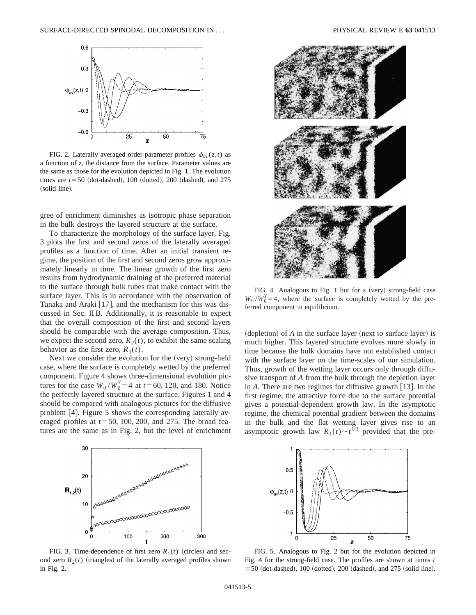

FIG. 2. Laterally averaged order parameter profiles  $\phi_{av}(z,t)$  as a function of *z*, the distance from the surface. Parameter values are the same as those for the evolution depicted in Fig. 1. The evolution times are  $t = 50$  (dot-dashed), 100 (dotted), 200 (dashed), and 275 (solid line).

gree of enrichment diminishes as isotropic phase separation in the bulk destroys the layered structure at the surface.

To characterize the morphology of the surface layer, Fig. 3 plots the first and second zeros of the laterally averaged profiles as a function of time. After an initial transient regime, the position of the first and second zeros grow approximately linearly in time. The linear growth of the first zero results from hydrodynamic draining of the preferred material to the surface through bulk tubes that make contact with the surface layer. This is in accordance with the observation of Tanaka and Araki  $[17]$ , and the mechanism for this was discussed in Sec. II B. Additionally, it is reasonable to expect that the overall composition of the first and second layers should be comparable with the average composition. Thus, we expect the second zero,  $R_2(t)$ , to exhibit the same scaling behavior as the first zero,  $R_1(t)$ .

Next we consider the evolution for the (very) strong-field case, where the surface is completely wetted by the preferred component. Figure 4 shows three-dimensional evolution pictures for the case  $W_0/W_0^Y = 4$  at  $t = 60$ , 120, and 180. Notice the perfectly layered structure at the surface. Figures 1 and 4 should be compared with analogous pictures for the diffusive problem  $[4]$ . Figure 5 shows the corresponding laterally averaged profiles at  $t = 50$ , 100, 200, and 275. The broad features are the same as in Fig. 2, but the level of enrichment



FIG. 4. Analogous to Fig. 1 but for a (very) strong-field case  $W_0/W_0^Y=4$ , where the surface is completely wetted by the preferred component in equilibrium.

 $(dependent)$  of  $A$  in the surface layer (next to surface layer) is much higher. This layered structure evolves more slowly in time because the bulk domains have not established contact with the surface layer on the time-scales of our simulation. Thus, growth of the wetting layer occurs only through diffusive transport of *A* from the bulk through the depletion layer in  $\Lambda$ . There are two regimes for diffusive growth  $|13|$ . In the first regime, the attractive force due to the surface potential gives a potential-dependent growth law. In the asymptotic regime, the chemical potential gradient between the domains in the bulk and the flat wetting layer gives rise to an asymptotic growth law  $R_1(t) \sim t^{1/3}$  provided that the pre-



 $0.5$  $\varphi_{av}(z,t)$  0  $-0.5$ 25 50 75 z

FIG. 3. Time-dependence of first zero  $R_1(t)$  (circles) and second zero  $R_2(t)$  (triangles) of the laterally averaged profiles shown in Fig. 2.

FIG. 5. Analogous to Fig. 2 but for the evolution depicted in Fig. 4 for the strong-field case. The profiles are shown at times *t*  $=$  50 (dot-dashed), 100 (dotted), 200 (dashed), and 275 (solid line).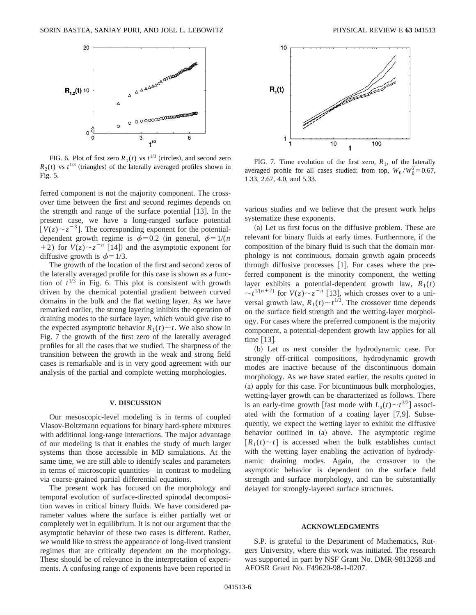

FIG. 6. Plot of first zero  $R_1(t)$  vs  $t^{1/3}$  (circles), and second zero  $R_2(t)$  vs  $t^{1/3}$  (triangles) of the laterally averaged profiles shown in Fig. 5.

ferred component is not the majority component. The crossover time between the first and second regimes depends on the strength and range of the surface potential  $[13]$ . In the present case, we have a long-ranged surface potential  $[V(z) \sim z^{-3}]$ . The corresponding exponent for the potentialdependent growth regime is  $\phi=0.2$  (in general,  $\phi=1/(n)$ +2) for  $V(z) \sim z^{-n}$  [14]) and the asymptotic exponent for diffusive growth is  $\phi$  = 1/3.

The growth of the location of the first and second zeros of the laterally averaged profile for this case is shown as a function of  $t^{1/3}$  in Fig. 6. This plot is consistent with growth driven by the chemical potential gradient between curved domains in the bulk and the flat wetting layer. As we have remarked earlier, the strong layering inhibits the operation of draining modes to the surface layer, which would give rise to the expected asymptotic behavior  $R_1(t) \sim t$ . We also show in Fig. 7 the growth of the first zero of the laterally averaged profiles for all the cases that we studied. The sharpness of the transition between the growth in the weak and strong field cases is remarkable and is in very good agreement with our analysis of the partial and complete wetting morphologies.

#### **V. DISCUSSION**

Our mesoscopic-level modeling is in terms of coupled Vlasov-Boltzmann equations for binary hard-sphere mixtures with additional long-range interactions. The major advantage of our modeling is that it enables the study of much larger systems than those accessible in MD simulations. At the same time, we are still able to identify scales and parameters in terms of microscopic quantities—in contrast to modeling via coarse-grained partial differential equations.

The present work has focused on the morphology and temporal evolution of surface-directed spinodal decomposition waves in critical binary fluids. We have considered parameter values where the surface is either partially wet or completely wet in equilibrium. It is not our argument that the asymptotic behavior of these two cases is different. Rather, we would like to stress the appearance of long-lived transient regimes that are critically dependent on the morphology. These should be of relevance in the interpretation of experiments. A confusing range of exponents have been reported in



FIG. 7. Time evolution of the first zero,  $R_1$ , of the laterally averaged profile for all cases studied: from top,  $W_0/W_0^Y=0.67$ , 1.33, 2.67, 4.0, and 5.33.

various studies and we believe that the present work helps systematize these exponents.

 $(a)$  Let us first focus on the diffusive problem. These are relevant for binary fluids at early times. Furthermore, if the composition of the binary fluid is such that the domain morphology is not continuous, domain growth again proceeds through diffusive processes  $[1]$ . For cases where the preferred component is the minority component, the wetting layer exhibits a potential-dependent growth law,  $R_1(t)$  $\sim t^{1/(n+2)}$  for  $V(z) \sim z^{-n}$  [13], which crosses over to a universal growth law,  $R_1(t) \sim t^{1/3}$ . The crossover time depends on the surface field strength and the wetting-layer morphology. For cases where the preferred component is the majority component, a potential-dependent growth law applies for all time  $|13|$ .

(b) Let us next consider the hydrodynamic case. For strongly off-critical compositions, hydrodynamic growth modes are inactive because of the discontinuous domain morphology. As we have stated earlier, the results quoted in  $(a)$  apply for this case. For bicontinuous bulk morphologies, wetting-layer growth can be characterized as follows. There is an early-time growth [fast mode with  $L_s(t) \sim t^{3/2}$ ] associated with the formation of a coating layer  $[7,9]$ . Subsequently, we expect the wetting layer to exhibit the diffusive behavior outlined in  $(a)$  above. The asymptotic regime  $[R_1(t) \sim t]$  is accessed when the bulk establishes contact with the wetting layer enabling the activation of hydrodynamic draining modes. Again, the crossover to the asymptotic behavior is dependent on the surface field strength and surface morphology, and can be substantially delayed for strongly-layered surface structures.

#### **ACKNOWLEDGMENTS**

S.P. is grateful to the Department of Mathematics, Rutgers University, where this work was initiated. The research was supported in part by NSF Grant No. DMR-9813268 and AFOSR Grant No. F49620-98-1-0207.